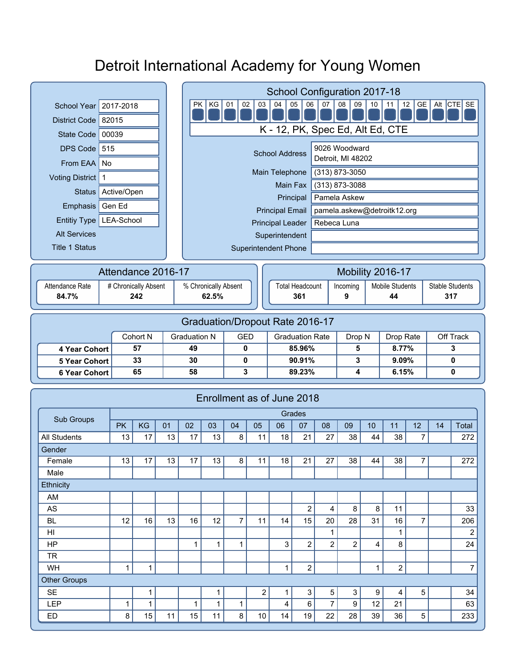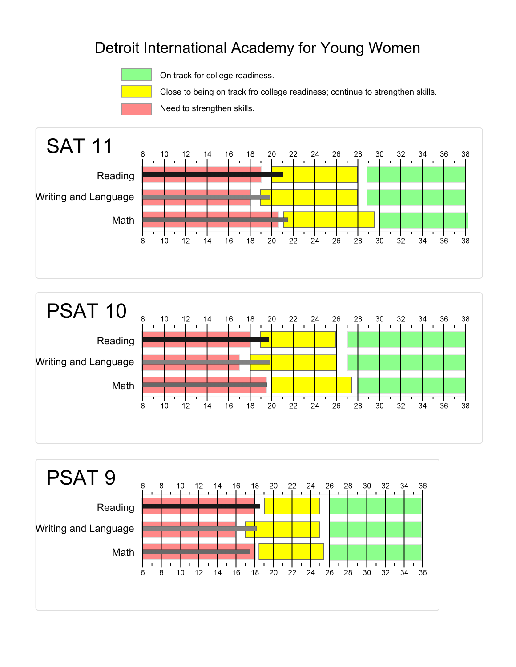

On track for college readiness.

Close to being on track fro college readiness; continue to strengthen skills.

Need to strengthen skills.





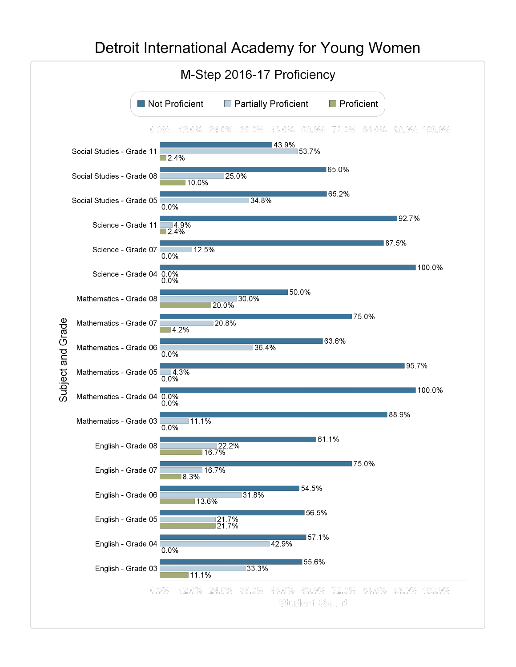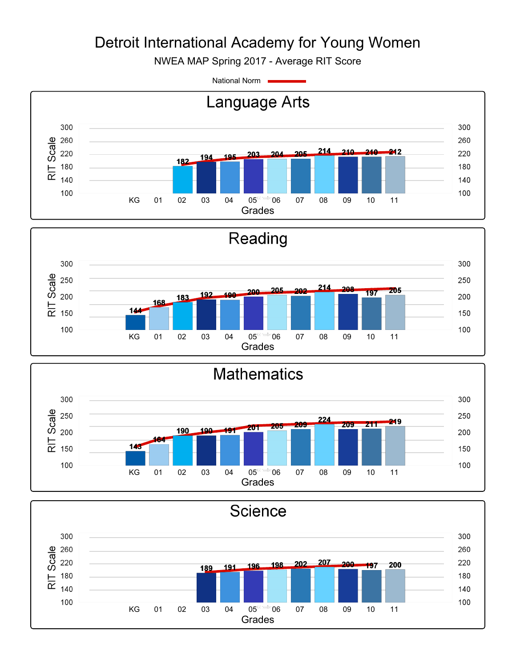NWEA MAP Spring 2017 - Average RIT Score